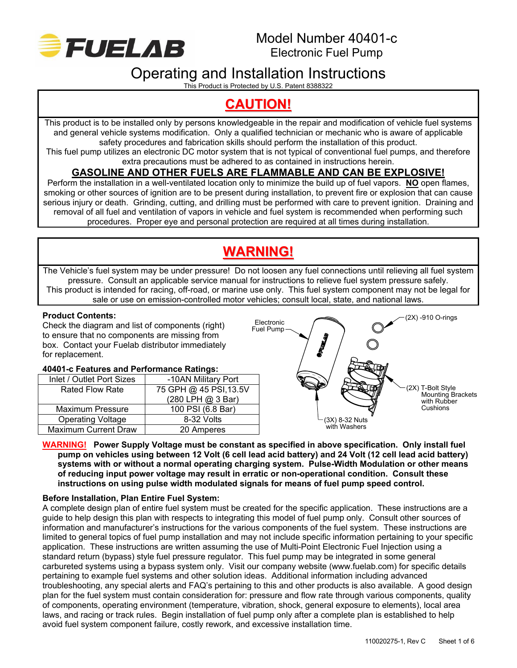

# Operating and Installation Instructions

This Product is Protected by U.S. Patent 8388322

# **CAUTION!**

This product is to be installed only by persons knowledgeable in the repair and modification of vehicle fuel systems and general vehicle systems modification. Only a qualified technician or mechanic who is aware of applicable safety procedures and fabrication skills should perform the installation of this product.

This fuel pump utilizes an electronic DC motor system that is not typical of conventional fuel pumps, and therefore extra precautions must be adhered to as contained in instructions herein.

# **GASOLINE AND OTHER FUELS ARE FLAMMABLE AND CAN BE EXPLOSIVE!**

Perform the installation in a well-ventilated location only to minimize the build up of fuel vapors. **NO** open flames, smoking or other sources of ignition are to be present during installation, to prevent fire or explosion that can cause serious injury or death. Grinding, cutting, and drilling must be performed with care to prevent ignition. Draining and removal of all fuel and ventilation of vapors in vehicle and fuel system is recommended when performing such procedures. Proper eye and personal protection are required at all times during installation.

# **WARNING!**

The Vehicle's fuel system may be under pressure! Do not loosen any fuel connections until relieving all fuel system pressure. Consult an applicable service manual for instructions to relieve fuel system pressure safely. This product is intended for racing, off-road, or marine use only. This fuel system component may not be legal for sale or use on emission-controlled motor vehicles; consult local, state, and national laws.

### **Product Contents:**

Check the diagram and list of components (right) to ensure that no components are missing from box. Contact your Fuelab distributor immediately for replacement.

#### **40401-c Features and Performance Ratings:**

| Inlet / Outlet Port Sizes   | -10AN Military Port    |
|-----------------------------|------------------------|
| <b>Rated Flow Rate</b>      | 75 GPH @ 45 PSI, 13.5V |
|                             | (280 LPH @ 3 Bar)      |
| <b>Maximum Pressure</b>     | 100 PSI (6.8 Bar)      |
| <b>Operating Voltage</b>    | 8-32 Volts             |
| <b>Maximum Current Draw</b> | 20 Amperes             |



#### **WARNING! Power Supply Voltage must be constant as specified in above specification. Only install fuel pump on vehicles using between 12 Volt (6 cell lead acid battery) and 24 Volt (12 cell lead acid battery) systems with or without a normal operating charging system. Pulse-Width Modulation or other means of reducing input power voltage may result in erratic or non-operational condition. Consult these instructions on using pulse width modulated signals for means of fuel pump speed control.**

### **Before Installation, Plan Entire Fuel System:**

A complete design plan of entire fuel system must be created for the specific application. These instructions are a guide to help design this plan with respects to integrating this model of fuel pump only. Consult other sources of information and manufacturer's instructions for the various components of the fuel system. These instructions are limited to general topics of fuel pump installation and may not include specific information pertaining to your specific application. These instructions are written assuming the use of Multi-Point Electronic Fuel Injection using a standard return (bypass) style fuel pressure regulator. This fuel pump may be integrated in some general carbureted systems using a bypass system only. Visit our company website (www.fuelab.com) for specific details pertaining to example fuel systems and other solution ideas. Additional information including advanced troubleshooting, any special alerts and FAQ's pertaining to this and other products is also available. A good design plan for the fuel system must contain consideration for: pressure and flow rate through various components, quality of components, operating environment (temperature, vibration, shock, general exposure to elements), local area laws, and racing or track rules. Begin installation of fuel pump only after a complete plan is established to help avoid fuel system component failure, costly rework, and excessive installation time.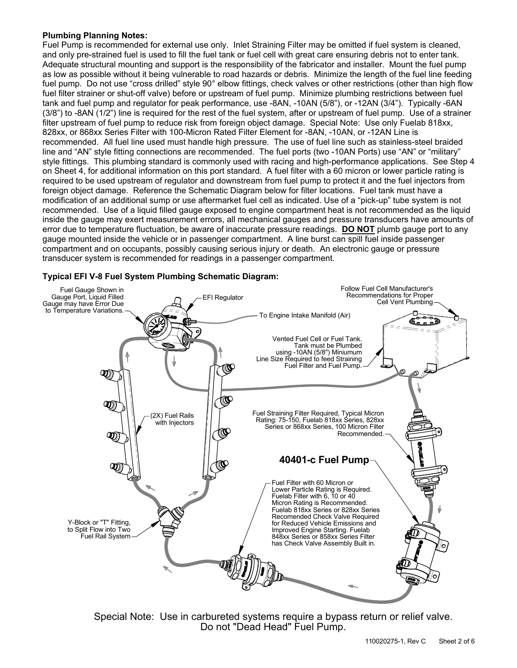#### **Plumbing Planning Notes:**

Fuel Pump is recommended for external use only. Inlet Straining Filter may be omitted if fuel system is cleaned, and only pre-strained fuel is used to fill the fuel tank or fuel cell with great care ensuring debris not to enter tank. Adequate structural mounting and support is the responsibility of the fabricator and installer. Mount the fuel pump as low as possible without it being vulnerable to road hazards or debris. Minimize the length of the fuel line feeding fuel pump. Do not use "cross drilled" style 90° elbow fittings, check valves or other restrictions (other than high flow fuel filter strainer or shut-off valve) before or upstream of fuel pump. Minimize plumbing restrictions between fuel tank and fuel pump and regulator for peak performance, use -8AN, -10AN (5/8"), or -12AN (3/4"). Typically -6AN  $(3/8)$ " to -8AN  $(1/2)$ " line is required for the rest of the fuel system, after or upstream of fuel pump. Use of a strainer filter upstream of fuel pump to reduce risk from foreign object damage. Special Note: Use only Fuelab 818xx, 828xx, or 868xx Series Filter with 100-Micron Rated Filter Element for -8AN, -10AN, or -12AN Line is recommended. All fuel line used must handle high pressure. The use of fuel line such as stainless-steel braided line and "AN" style fitting connections are recommended. The fuel ports (two -10AN Ports) use "AN" or "military" style fittings. This plumbing standard is commonly used with racing and high-performance applications. See Step 4 on Sheet 4, for additional information on this port standard. A fuel filter with a 60 micron or lower particle rating is required to be used upstream of regulator and downstream from fuel pump to protect it and the fuel injectors from foreign object damage. Reference the Schematic Diagram below for filter locations. Fuel tank must have a modification of an additional sump or use aftermarket fuel cell as indicated. Use of a "pick-up" tube system is not recommended. Use of a liquid filled gauge exposed to engine compartment heat is not recommended as the liquid inside the gauge may exert measurement errors, all mechanical gauges and pressure transducers have amounts of error due to temperature fluctuation, be aware of inaccurate pressure readings. **DO NOT** plumb gauge port to any gauge mounted inside the vehicle or in passenger compartment. A line burst can spill fuel inside passenger compartment and on occupants, possibly causing serious injury or death. An electronic gauge or pressure transducer system is recommended for readings in a passenger compartment.

#### Follow Fuel Cell Manufacturer's Fuel Gauge Shown in Gauge Port, Liquid Filled Recommendations for Proper EFI Regulator The Cell Vent Proper<br>Cell Vent Plumbing Cell Vent Plumbing Gauge may have Error Due to Temperature Variations. To Engine Intake Manifold (Air) ᅎ C. 3 Vented Fuel Cell or Fuel Tank. Tank must be Plumbed using -10AN (5/8") Miniumum Line Size Required to feed Straining Fuel Filter and Fuel Pump. **IQ**  $\overline{\mathbb{Q}}$ **D**  $\mathcal{D}$ Fuel Straining Filter Required, Typical Micron (2X) Fuel Rails Rating: 75-150, Fuelab 818xx Series, 828xx with Injectors Series or 868xx Series, 100 Micron Filter  $\bigcirc$ Recommended.  $\mathfrak V$ **40401-c Fuel Pump**  $\mathcal{D}$ Fuel Filter with 60 Micron or Lower Particle Rating is Required. Fuelab Filter with 6, 10 or 40 Micron Rating is Recommended. Fuelab 818xx Series or 828xx Series Recomended Check Valve Required Y-Block or "T" Fitting, for Reduced Vehicle Emissions and to Split Flow into Two Improved Engine Starting. Fuelab Fuel Rail System 848xx Series or 858xx Series Filter has Check Valve Assembly Built in.r)

### **Typical EFI V-8 Fuel System Plumbing Schematic Diagram:**

Special Note: Use in carbureted systems require a bypass return or relief valve. Do not "Dead Head" Fuel Pump.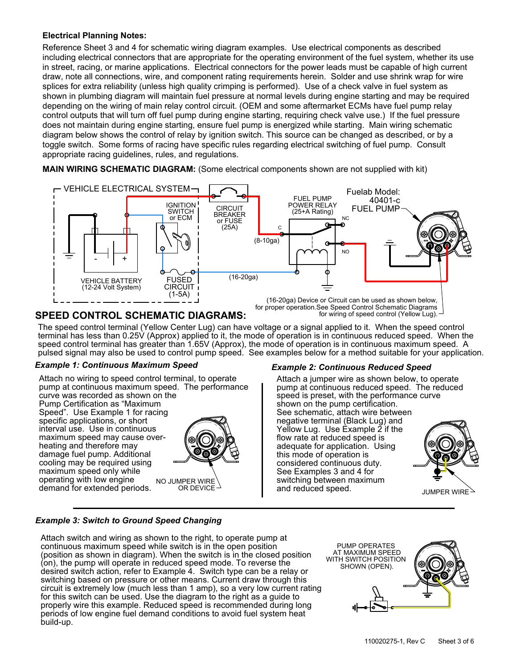#### **Electrical Planning Notes:**

Reference Sheet 3 and 4 for schematic wiring diagram examples. Use electrical components as described including electrical connectors that are appropriate for the operating environment of the fuel system, whether its use in street, racing, or marine applications. Electrical connectors for the power leads must be capable of high current draw, note all connections, wire, and component rating requirements herein. Solder and use shrink wrap for wire splices for extra reliability (unless high quality crimping is performed). Use of a check valve in fuel system as shown in plumbing diagram will maintain fuel pressure at normal levels during engine starting and may be required depending on the wiring of main relay control circuit. (OEM and some aftermarket ECMs have fuel pump relay control outputs that will turn off fuel pump during engine starting, requiring check valve use.) If the fuel pressure does not maintain during engine starting, ensure fuel pump is energized while starting. Main wiring schematic diagram below shows the control of relay by ignition switch. This source can be changed as described, or by a toggle switch. Some forms of racing have specific rules regarding electrical switching of fuel pump. Consult appropriate racing guidelines, rules, and regulations.

**MAIN WIRING SCHEMATIC DIAGRAM:** (Some electrical components shown are not supplied with kit)



## **SPEED CONTROL SCHEMATIC DIAGRAMS:**

The speed control terminal (Yellow Center Lug) can have voltage or a signal applied to it. When the speed control pulsed signal may also be used to control pump speed. See examples below for a method suitable for your application. terminal has less than 0.25V (Approx) applied to it, the mode of operation is in continuous reduced speed. When the speed control terminal has greater than 1.65V (Approx), the mode of operation is in continuous maximum speed. A

#### *Example 1: Continuous Maximum Speed*

NO JUMPER WIRE OR DEVICE demand for extended periods. Attach no wiring to speed control terminal, to operate operating with low engine maximum speed only while cooling may be required using interval use. Use in continuous specific applications, or short Speed". Use Example 1 for racing Pump Certification as "Maximum curve was recorded as shown on the pump at continuous maximum speed. The performance damage fuel pump. Additional heating and therefore may maximum speed may cause over-



#### *Example 2: Continuous Reduced Speed*

See schematic, attach wire between shown on the pump certification. negative terminal (Black Lug) and Yellow Lug. Use Example 2 if the flow rate at reduced speed is adequate for application. Using this mode of operation is considered continuous duty. See Examples 3 and 4 for switching between maximum and reduced speed. Attach a jumper wire as shown below, to operate pump at continuous reduced speed. The reduced speed is preset, with the performance curve



#### *Example 3: Switch to Ground Speed Changing*

Attach switch and wiring as shown to the right, to operate pump at continuous maximum speed while switch is in the open position (position as shown in diagram). When the switch is in the closed position (on), the pump will operate in reduced speed mode. To reverse the desired switch action, refer to Example 4. Switch type can be a relay or switching based on pressure or other means. Current draw through this circuit is extremely low (much less than 1 amp), so a very low current rating for this switch can be used. Use the diagram to the right as a guide to properly wire this example. Reduced speed is recommended during long periods of low engine fuel demand conditions to avoid fuel system heat build-up.

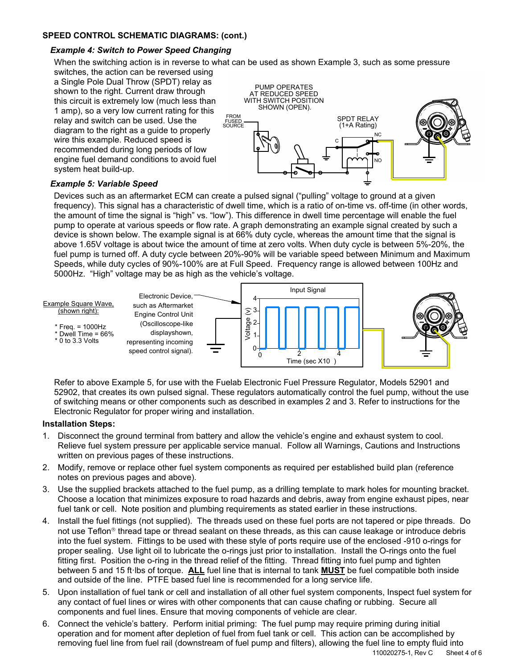#### **SPEED CONTROL SCHEMATIC DIAGRAMS: (cont.)**

#### *Example 4: Switch to Power Speed Changing*

When the switching action is in reverse to what can be used as shown Example 3, such as some pressure

switches, the action can be reversed using a Single Pole Dual Throw (SPDT) relay as shown to the right. Current draw through this circuit is extremely low (much less than 1 amp), so a very low current rating for this relay and switch can be used. Use the diagram to the right as a guide to properly wire this example. Reduced speed is recommended during long periods of low engine fuel demand conditions to avoid fuel system heat build-up.



#### *Example 5: Variable Speed*

Devices such as an aftermarket ECM can create a pulsed signal ("pulling" voltage to ground at a given frequency). This signal has a characteristic of dwell time, which is a ratio of on-time vs. off-time (in other words, the amount of time the signal is "high" vs. "low"). This difference in dwell time percentage will enable the fuel pump to operate at various speeds or flow rate. A graph demonstrating an example signal created by such a device is shown below. The example signal is at 66% duty cycle, whereas the amount time that the signal is above 1.65V voltage is about twice the amount of time at zero volts. When duty cycle is between 5%-20%, the fuel pump is turned off. A duty cycle between 20%-90% will be variable speed between Minimum and Maximum Speeds, while duty cycles of 90%-100% are at Full Speed. Frequency range is allowed between 100Hz and 5000Hz. "High" voltage may be as high as the vehicle's voltage.



Refer to above Example 5, for use with the Fuelab Electronic Fuel Pressure Regulator, Models 52901 and 52902, that creates its own pulsed signal. These regulators automatically control the fuel pump, without the use of switching means or other components such as described in examples 2 and 3. Refer to instructions for the Electronic Regulator for proper wiring and installation.

#### **Installation Steps:**

- 1. Disconnect the ground terminal from battery and allow the vehicle's engine and exhaust system to cool. Relieve fuel system pressure per applicable service manual. Follow all Warnings, Cautions and Instructions written on previous pages of these instructions.
- 2. Modify, remove or replace other fuel system components as required per established build plan (reference notes on previous pages and above).
- 3. Use the supplied brackets attached to the fuel pump, as a drilling template to mark holes for mounting bracket. Choose a location that minimizes exposure to road hazards and debris, away from engine exhaust pipes, near fuel tank or cell. Note position and plumbing requirements as stated earlier in these instructions.
- 4. Install the fuel fittings (not supplied). The threads used on these fuel ports are not tapered or pipe threads. Do not use Teflon<sup>®</sup> thread tape or thread sealant on these threads, as this can cause leakage or introduce debris into the fuel system. Fittings to be used with these style of ports require use of the enclosed -910 o-rings for proper sealing. Use light oil to lubricate the o-rings just prior to installation. Install the O-rings onto the fuel fitting first. Position the o-ring in the thread relief of the fitting. Thread fitting into fuel pump and tighten between 5 and 15 ftꞏlbs of torque. **ALL** fuel line that is internal to tank **MUST** be fuel compatible both inside and outside of the line. PTFE based fuel line is recommended for a long service life.
- 5. Upon installation of fuel tank or cell and installation of all other fuel system components, Inspect fuel system for any contact of fuel lines or wires with other components that can cause chafing or rubbing. Secure all components and fuel lines. Ensure that moving components of vehicle are clear.
- 6. Connect the vehicle's battery. Perform initial priming: The fuel pump may require priming during initial operation and for moment after depletion of fuel from fuel tank or cell. This action can be accomplished by removing fuel line from fuel rail (downstream of fuel pump and filters), allowing the fuel line to empty fluid into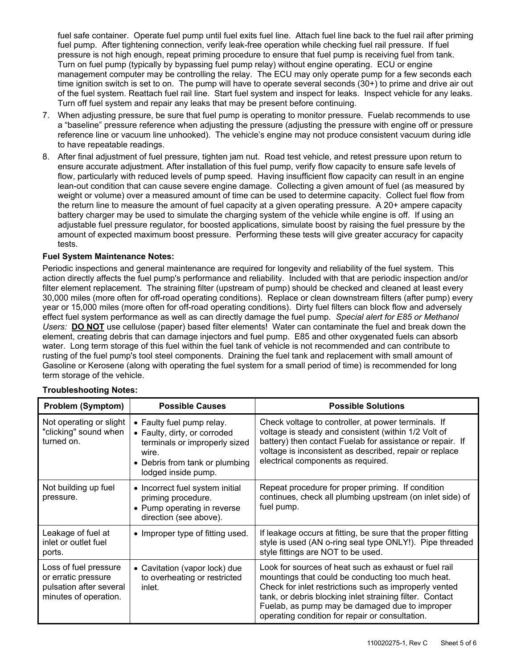fuel safe container. Operate fuel pump until fuel exits fuel line. Attach fuel line back to the fuel rail after priming fuel pump. After tightening connection, verify leak-free operation while checking fuel rail pressure. If fuel pressure is not high enough, repeat priming procedure to ensure that fuel pump is receiving fuel from tank. Turn on fuel pump (typically by bypassing fuel pump relay) without engine operating. ECU or engine management computer may be controlling the relay. The ECU may only operate pump for a few seconds each time ignition switch is set to on. The pump will have to operate several seconds (30+) to prime and drive air out of the fuel system. Reattach fuel rail line. Start fuel system and inspect for leaks. Inspect vehicle for any leaks. Turn off fuel system and repair any leaks that may be present before continuing.

- 7. When adjusting pressure, be sure that fuel pump is operating to monitor pressure. Fuelab recommends to use a "baseline" pressure reference when adjusting the pressure (adjusting the pressure with engine off or pressure reference line or vacuum line unhooked). The vehicle's engine may not produce consistent vacuum during idle to have repeatable readings.
- 8. After final adjustment of fuel pressure, tighten jam nut. Road test vehicle, and retest pressure upon return to ensure accurate adjustment. After installation of this fuel pump, verify flow capacity to ensure safe levels of flow, particularly with reduced levels of pump speed. Having insufficient flow capacity can result in an engine lean-out condition that can cause severe engine damage. Collecting a given amount of fuel (as measured by weight or volume) over a measured amount of time can be used to determine capacity. Collect fuel flow from the return line to measure the amount of fuel capacity at a given operating pressure. A 20+ ampere capacity battery charger may be used to simulate the charging system of the vehicle while engine is off. If using an adjustable fuel pressure regulator, for boosted applications, simulate boost by raising the fuel pressure by the amount of expected maximum boost pressure. Performing these tests will give greater accuracy for capacity tests.

#### **Fuel System Maintenance Notes:**

Periodic inspections and general maintenance are required for longevity and reliability of the fuel system. This action directly affects the fuel pump's performance and reliability. Included with that are periodic inspection and/or filter element replacement. The straining filter (upstream of pump) should be checked and cleaned at least every 30,000 miles (more often for off-road operating conditions). Replace or clean downstream filters (after pump) every year or 15,000 miles (more often for off-road operating conditions). Dirty fuel filters can block flow and adversely effect fuel system performance as well as can directly damage the fuel pump. *Special alert for E85 or Methanol Users:* **DO NOT** use cellulose (paper) based filter elements! Water can contaminate the fuel and break down the element, creating debris that can damage injectors and fuel pump. E85 and other oxygenated fuels can absorb water. Long term storage of this fuel within the fuel tank of vehicle is not recommended and can contribute to rusting of the fuel pump's tool steel components. Draining the fuel tank and replacement with small amount of Gasoline or Kerosene (along with operating the fuel system for a small period of time) is recommended for long term storage of the vehicle.

| <b>Problem (Symptom)</b>                                                                         | <b>Possible Causes</b>                                                                                                                                       | <b>Possible Solutions</b>                                                                                                                                                                                                                                                                                                             |
|--------------------------------------------------------------------------------------------------|--------------------------------------------------------------------------------------------------------------------------------------------------------------|---------------------------------------------------------------------------------------------------------------------------------------------------------------------------------------------------------------------------------------------------------------------------------------------------------------------------------------|
| Not operating or slight<br>"clicking" sound when<br>turned on.                                   | • Faulty fuel pump relay.<br>• Faulty, dirty, or corroded<br>terminals or improperly sized<br>wire.<br>• Debris from tank or plumbing<br>lodged inside pump. | Check voltage to controller, at power terminals. If<br>voltage is steady and consistent (within 1/2 Volt of<br>battery) then contact Fuelab for assistance or repair. If<br>voltage is inconsistent as described, repair or replace<br>electrical components as required.                                                             |
| Not building up fuel<br>pressure.                                                                | • Incorrect fuel system initial<br>priming procedure.<br>• Pump operating in reverse<br>direction (see above).                                               | Repeat procedure for proper priming. If condition<br>continues, check all plumbing upstream (on inlet side) of<br>fuel pump.                                                                                                                                                                                                          |
| Leakage of fuel at<br>inlet or outlet fuel<br>ports.                                             | • Improper type of fitting used.                                                                                                                             | If leakage occurs at fitting, be sure that the proper fitting<br>style is used (AN o-ring seal type ONLY!). Pipe threaded<br>style fittings are NOT to be used.                                                                                                                                                                       |
| Loss of fuel pressure<br>or erratic pressure<br>pulsation after several<br>minutes of operation. | • Cavitation (vapor lock) due<br>to overheating or restricted<br>inlet.                                                                                      | Look for sources of heat such as exhaust or fuel rail<br>mountings that could be conducting too much heat.<br>Check for inlet restrictions such as improperly vented<br>tank, or debris blocking inlet straining filter. Contact<br>Fuelab, as pump may be damaged due to improper<br>operating condition for repair or consultation. |

#### **Troubleshooting Notes:**